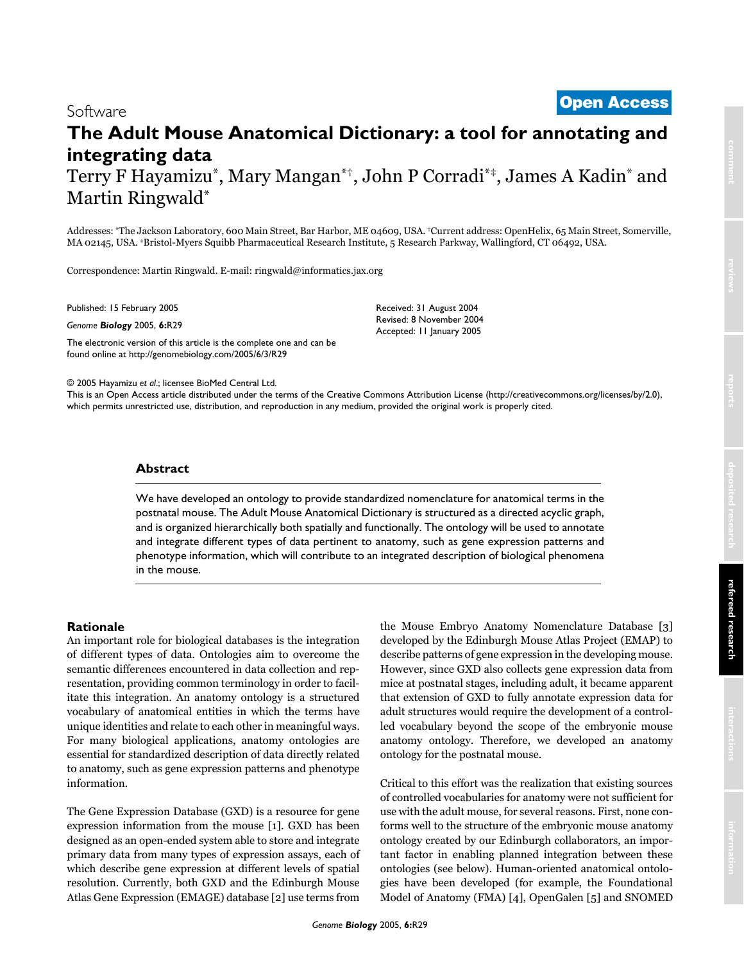# <sup>2005</sup> Hayamizu et al. Volume 6, Issue 3, Article R29 **[Open Access](http://www.biomedcentral.com/info/about/charter/)** Software

## **The Adult Mouse Anatomical Dictionary: a tool for annotating and integrating data** Terry F Hayamizu\*, Mary Mangan\*†, John P Corradi\*‡, James A Kadin\* and Martin Ringwald\*

Addresses: \*The Jackson Laboratory, 600 Main Street, Bar Harbor, ME 04609, USA. †Current address: OpenHelix, 65 Main Street, Somerville, MA 02145, USA. ‡Bristol-Myers Squibb Pharmaceutical Research Institute, 5 Research Parkway, Wallingford, CT 06492, USA.

> Received: 31 August 2004 Revised: 8 November 2004 Accepted: 11 January 2005

Correspondence: Martin Ringwald. E-mail: ringwald@informatics.jax.org

Published: 15 February 2005

*Genome Biology* 2005, **6:**R29

[The electronic version of this article is the complete one and can be](http://genomebiology.com/2005/6/3/r29)  found online at http://genomebiology.com/2005/6/3/R29

© 2005 Hayamizu *et al*.; licensee BioMed Central Ltd.

[This is an Open Access article distributed under the terms of the Creative Commons Attribution License \(http://creativecommons.org/licenses/by/2.0\),](http://creativecommons.org/licenses/by/2.0)  which permits unrestricted use, distribution, and reproduction in any medium, provided the original work is properly cited.

## **Abstract**

We have developed an ontology to provide standardized nomenclature for anatomical terms in the postnatal mouse. The Adult Mouse Anatomical Dictionary is structured as a directed acyclic graph, and is organized hierarchically both spatially and functionally. The ontology will be used to annotate and integrate different types of data pertinent to anatomy, such as gene expression patterns and phenotype information, which will contribute to an integrated description of biological phenomena in the mouse.

## **Rationale**

An important role for biological databases is the integration of different types of data. Ontologies aim to overcome the semantic differences encountered in data collection and representation, providing common terminology in order to facilitate this integration. An anatomy ontology is a structured vocabulary of anatomical entities in which the terms have unique identities and relate to each other in meaningful ways. For many biological applications, anatomy ontologies are essential for standardized description of data directly related to anatomy, such as gene expression patterns and phenotype information.

The Gene Expression Database (GXD) is a resource for gene expression information from the mouse [1]. GXD has been designed as an open-ended system able to store and integrate primary data from many types of expression assays, each of which describe gene expression at different levels of spatial resolution. Currently, both GXD and the Edinburgh Mouse Atlas Gene Expression (EMAGE) database [2] use terms from the Mouse Embryo Anatomy Nomenclature Database [3] developed by the Edinburgh Mouse Atlas Project (EMAP) to describe patterns of gene expression in the developing mouse. However, since GXD also collects gene expression data from mice at postnatal stages, including adult, it became apparent that extension of GXD to fully annotate expression data for adult structures would require the development of a controlled vocabulary beyond the scope of the embryonic mouse anatomy ontology. Therefore, we developed an anatomy ontology for the postnatal mouse.

Critical to this effort was the realization that existing sources of controlled vocabularies for anatomy were not sufficient for use with the adult mouse, for several reasons. First, none conforms well to the structure of the embryonic mouse anatomy ontology created by our Edinburgh collaborators, an important factor in enabling planned integration between these ontologies (see below). Human-oriented anatomical ontologies have been developed (for example, the Foundational Model of Anatomy (FMA) [4], OpenGalen [5] and SNOMED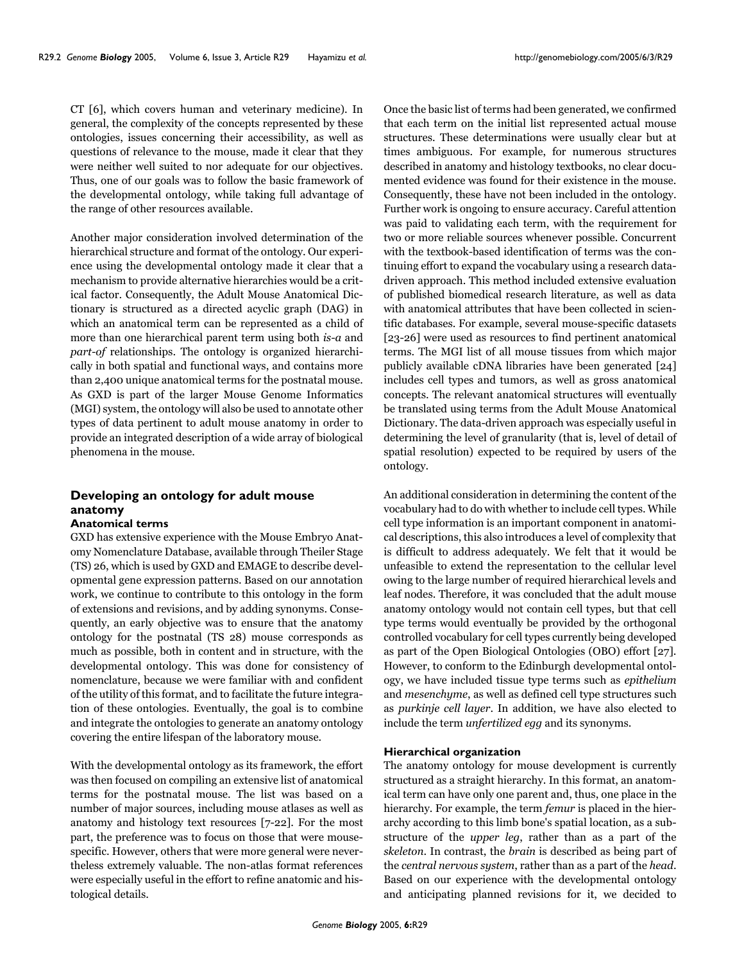CT [6], which covers human and veterinary medicine). In general, the complexity of the concepts represented by these ontologies, issues concerning their accessibility, as well as questions of relevance to the mouse, made it clear that they were neither well suited to nor adequate for our objectives. Thus, one of our goals was to follow the basic framework of the developmental ontology, while taking full advantage of the range of other resources available.

Another major consideration involved determination of the hierarchical structure and format of the ontology. Our experience using the developmental ontology made it clear that a mechanism to provide alternative hierarchies would be a critical factor. Consequently, the Adult Mouse Anatomical Dictionary is structured as a directed acyclic graph (DAG) in which an anatomical term can be represented as a child of more than one hierarchical parent term using both *is-a* and *part-of* relationships. The ontology is organized hierarchically in both spatial and functional ways, and contains more than 2,400 unique anatomical terms for the postnatal mouse. As GXD is part of the larger Mouse Genome Informatics (MGI) system, the ontology will also be used to annotate other types of data pertinent to adult mouse anatomy in order to provide an integrated description of a wide array of biological phenomena in the mouse.

## **Developing an ontology for adult mouse anatomy**

## **Anatomical terms**

GXD has extensive experience with the Mouse Embryo Anatomy Nomenclature Database, available through Theiler Stage (TS) 26, which is used by GXD and EMAGE to describe developmental gene expression patterns. Based on our annotation work, we continue to contribute to this ontology in the form of extensions and revisions, and by adding synonyms. Consequently, an early objective was to ensure that the anatomy ontology for the postnatal (TS 28) mouse corresponds as much as possible, both in content and in structure, with the developmental ontology. This was done for consistency of nomenclature, because we were familiar with and confident of the utility of this format, and to facilitate the future integration of these ontologies. Eventually, the goal is to combine and integrate the ontologies to generate an anatomy ontology covering the entire lifespan of the laboratory mouse.

With the developmental ontology as its framework, the effort was then focused on compiling an extensive list of anatomical terms for the postnatal mouse. The list was based on a number of major sources, including mouse atlases as well as anatomy and histology text resources [7-22]. For the most part, the preference was to focus on those that were mousespecific. However, others that were more general were nevertheless extremely valuable. The non-atlas format references were especially useful in the effort to refine anatomic and histological details.

Once the basic list of terms had been generated, we confirmed that each term on the initial list represented actual mouse structures. These determinations were usually clear but at times ambiguous. For example, for numerous structures described in anatomy and histology textbooks, no clear documented evidence was found for their existence in the mouse. Consequently, these have not been included in the ontology. Further work is ongoing to ensure accuracy. Careful attention was paid to validating each term, with the requirement for two or more reliable sources whenever possible. Concurrent with the textbook-based identification of terms was the continuing effort to expand the vocabulary using a research datadriven approach. This method included extensive evaluation of published biomedical research literature, as well as data with anatomical attributes that have been collected in scientific databases. For example, several mouse-specific datasets [23-26] were used as resources to find pertinent anatomical terms. The MGI list of all mouse tissues from which major publicly available cDNA libraries have been generated [24] includes cell types and tumors, as well as gross anatomical concepts. The relevant anatomical structures will eventually be translated using terms from the Adult Mouse Anatomical Dictionary. The data-driven approach was especially useful in determining the level of granularity (that is, level of detail of spatial resolution) expected to be required by users of the ontology.

An additional consideration in determining the content of the vocabulary had to do with whether to include cell types. While cell type information is an important component in anatomical descriptions, this also introduces a level of complexity that is difficult to address adequately. We felt that it would be unfeasible to extend the representation to the cellular level owing to the large number of required hierarchical levels and leaf nodes. Therefore, it was concluded that the adult mouse anatomy ontology would not contain cell types, but that cell type terms would eventually be provided by the orthogonal controlled vocabulary for cell types currently being developed as part of the Open Biological Ontologies (OBO) effort [27]. However, to conform to the Edinburgh developmental ontology, we have included tissue type terms such as *epithelium* and *mesenchyme*, as well as defined cell type structures such as *purkinje cell layer*. In addition, we have also elected to include the term *unfertilized egg* and its synonyms.

#### **Hierarchical organization**

The anatomy ontology for mouse development is currently structured as a straight hierarchy. In this format, an anatomical term can have only one parent and, thus, one place in the hierarchy. For example, the term *femur* is placed in the hierarchy according to this limb bone's spatial location, as a substructure of the *upper leg*, rather than as a part of the *skeleton*. In contrast, the *brain* is described as being part of the *central nervous system*, rather than as a part of the *head*. Based on our experience with the developmental ontology and anticipating planned revisions for it, we decided to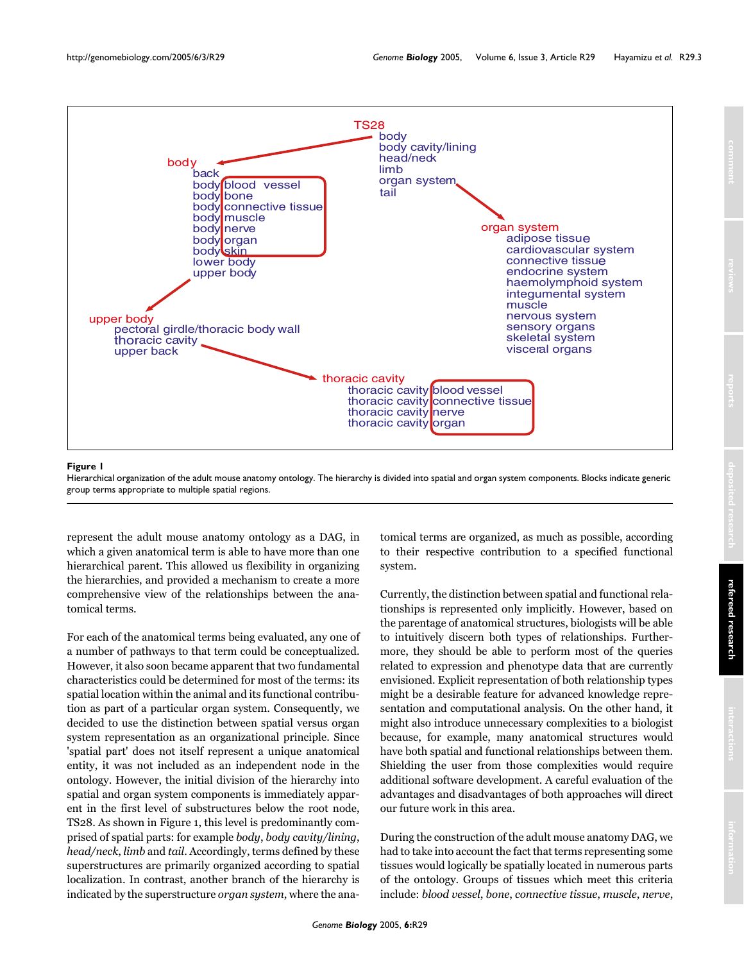

#### Figure 1

Hierarchical organization of the adult mouse anatomy ontology. The hierarchy is divided into spatial and organ system components. Blocks indicate generic group terms appropriate to multiple spatial regions.

represent the adult mouse anatomy ontology as a DAG, in which a given anatomical term is able to have more than one hierarchical parent. This allowed us flexibility in organizing the hierarchies, and provided a mechanism to create a more comprehensive view of the relationships between the anatomical terms.

For each of the anatomical terms being evaluated, any one of a number of pathways to that term could be conceptualized. However, it also soon became apparent that two fundamental characteristics could be determined for most of the terms: its spatial location within the animal and its functional contribution as part of a particular organ system. Consequently, we decided to use the distinction between spatial versus organ system representation as an organizational principle. Since 'spatial part' does not itself represent a unique anatomical entity, it was not included as an independent node in the ontology. However, the initial division of the hierarchy into spatial and organ system components is immediately apparent in the first level of substructures below the root node, TS28. As shown in Figure 1, this level is predominantly comprised of spatial parts: for example *body*, *body cavity/lining*, *head/neck*, *limb* and *tail*. Accordingly, terms defined by these superstructures are primarily organized according to spatial localization. In contrast, another branch of the hierarchy is indicated by the superstructure *organ system*, where the anatomical terms are organized, as much as possible, according to their respective contribution to a specified functional system.

Currently, the distinction between spatial and functional relationships is represented only implicitly. However, based on the parentage of anatomical structures, biologists will be able to intuitively discern both types of relationships. Furthermore, they should be able to perform most of the queries related to expression and phenotype data that are currently envisioned. Explicit representation of both relationship types might be a desirable feature for advanced knowledge representation and computational analysis. On the other hand, it might also introduce unnecessary complexities to a biologist because, for example, many anatomical structures would have both spatial and functional relationships between them. Shielding the user from those complexities would require additional software development. A careful evaluation of the advantages and disadvantages of both approaches will direct our future work in this area.

During the construction of the adult mouse anatomy DAG, we had to take into account the fact that terms representing some tissues would logically be spatially located in numerous parts of the ontology. Groups of tissues which meet this criteria include: *blood vessel*, *bone*, *connective tissue*, *muscle*, *nerve*,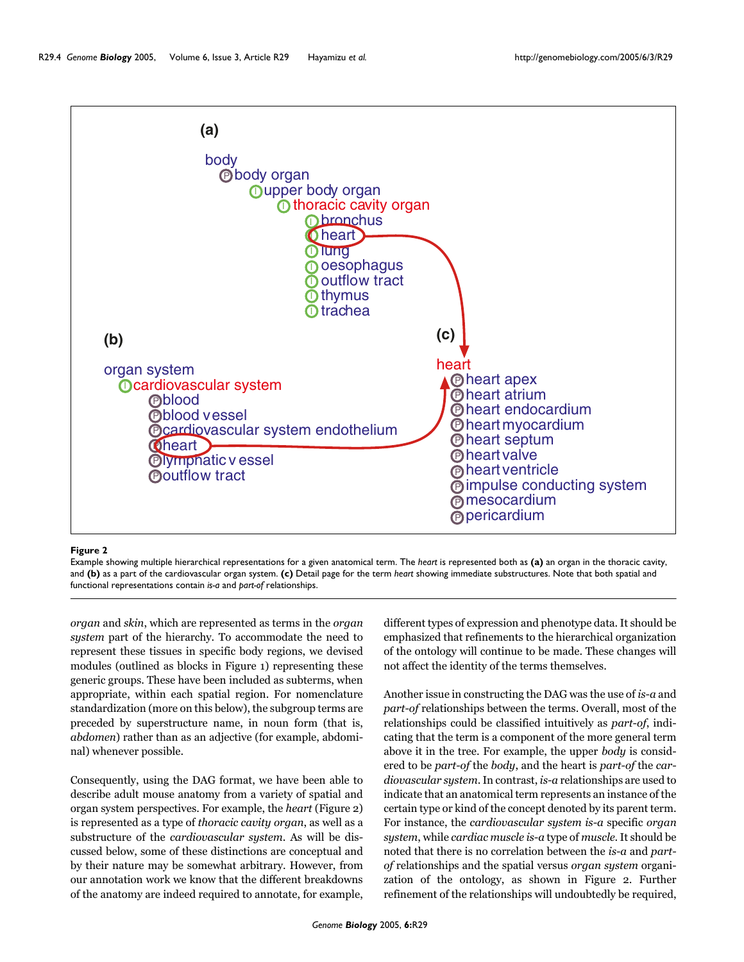

#### Figure 2

Example showing multiple hierarchical representations for a given anatomical term. The *heart* is represented both as **(a)** an organ in the thoracic cavity, and **(b)** as a part of the cardiovascular organ system. **(c)** Detail page for the term *heart* showing immediate substructures. Note that both spatial and functional representations contain *is-a* and *part-of* relationships.

*organ* and *skin*, which are represented as terms in the *organ system* part of the hierarchy. To accommodate the need to represent these tissues in specific body regions, we devised modules (outlined as blocks in Figure 1) representing these generic groups. These have been included as subterms, when appropriate, within each spatial region. For nomenclature standardization (more on this below), the subgroup terms are preceded by superstructure name, in noun form (that is, *abdomen*) rather than as an adjective (for example, abdominal) whenever possible.

Consequently, using the DAG format, we have been able to describe adult mouse anatomy from a variety of spatial and organ system perspectives. For example, the *heart* (Figure 2) is represented as a type of *thoracic cavity organ*, as well as a substructure of the *cardiovascular system*. As will be discussed below, some of these distinctions are conceptual and by their nature may be somewhat arbitrary. However, from our annotation work we know that the different breakdowns of the anatomy are indeed required to annotate, for example,

different types of expression and phenotype data. It should be emphasized that refinements to the hierarchical organization of the ontology will continue to be made. These changes will not affect the identity of the terms themselves.

Another issue in constructing the DAG was the use of *is-a* and *part-of* relationships between the terms. Overall, most of the relationships could be classified intuitively as *part-of*, indicating that the term is a component of the more general term above it in the tree. For example, the upper *body* is considered to be *part-of* the *body*, and the heart is *part-of* the *cardiovascular system*. In contrast, *is-a* relationships are used to indicate that an anatomical term represents an instance of the certain type or kind of the concept denoted by its parent term. For instance, the *cardiovascular system is-a* specific *organ system*, while *cardiac muscle is-a* type of *muscle*. It should be noted that there is no correlation between the *is-a* and *partof* relationships and the spatial versus *organ system* organization of the ontology, as shown in Figure 2. Further refinement of the relationships will undoubtedly be required,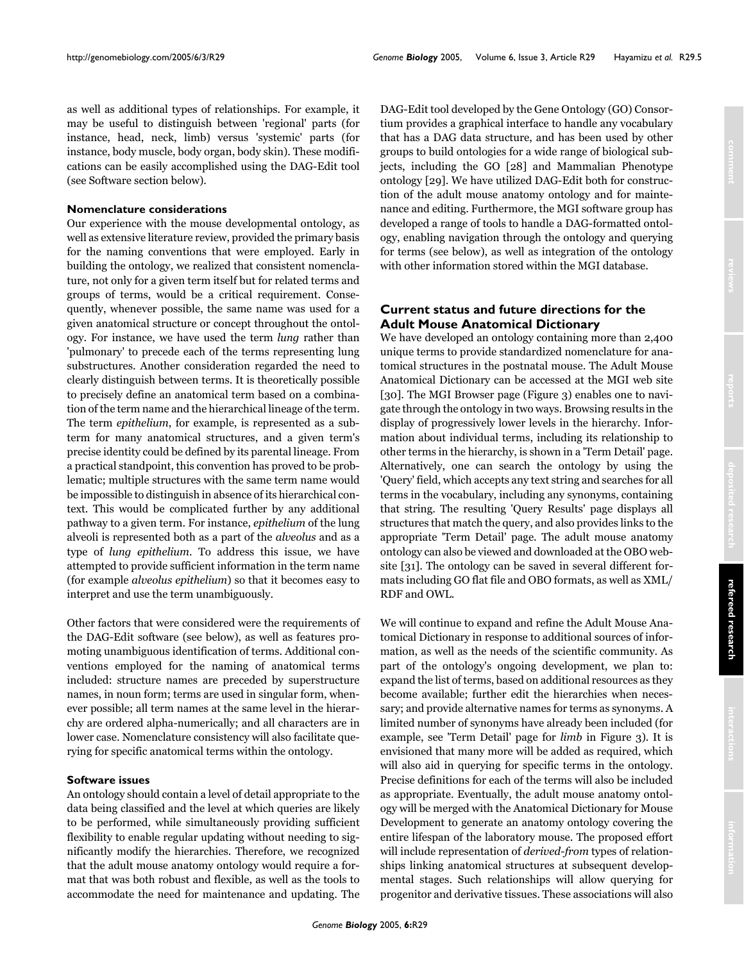as well as additional types of relationships. For example, it may be useful to distinguish between 'regional' parts (for instance, head, neck, limb) versus 'systemic' parts (for instance, body muscle, body organ, body skin). These modifications can be easily accomplished using the DAG-Edit tool (see Software section below).

## **Nomenclature considerations**

Our experience with the mouse developmental ontology, as well as extensive literature review, provided the primary basis for the naming conventions that were employed. Early in building the ontology, we realized that consistent nomenclature, not only for a given term itself but for related terms and groups of terms, would be a critical requirement. Consequently, whenever possible, the same name was used for a given anatomical structure or concept throughout the ontology. For instance, we have used the term *lung* rather than 'pulmonary' to precede each of the terms representing lung substructures. Another consideration regarded the need to clearly distinguish between terms. It is theoretically possible to precisely define an anatomical term based on a combination of the term name and the hierarchical lineage of the term. The term *epithelium*, for example, is represented as a subterm for many anatomical structures, and a given term's precise identity could be defined by its parental lineage. From a practical standpoint, this convention has proved to be problematic; multiple structures with the same term name would be impossible to distinguish in absence of its hierarchical context. This would be complicated further by any additional pathway to a given term. For instance, *epithelium* of the lung alveoli is represented both as a part of the *alveolus* and as a type of *lung epithelium*. To address this issue, we have attempted to provide sufficient information in the term name (for example *alveolus epithelium*) so that it becomes easy to interpret and use the term unambiguously.

Other factors that were considered were the requirements of the DAG-Edit software (see below), as well as features promoting unambiguous identification of terms. Additional conventions employed for the naming of anatomical terms included: structure names are preceded by superstructure names, in noun form; terms are used in singular form, whenever possible; all term names at the same level in the hierarchy are ordered alpha-numerically; and all characters are in lower case. Nomenclature consistency will also facilitate querying for specific anatomical terms within the ontology.

### **Software issues**

An ontology should contain a level of detail appropriate to the data being classified and the level at which queries are likely to be performed, while simultaneously providing sufficient flexibility to enable regular updating without needing to significantly modify the hierarchies. Therefore, we recognized that the adult mouse anatomy ontology would require a format that was both robust and flexible, as well as the tools to accommodate the need for maintenance and updating. The DAG-Edit tool developed by the Gene Ontology (GO) Consortium provides a graphical interface to handle any vocabulary that has a DAG data structure, and has been used by other groups to build ontologies for a wide range of biological subjects, including the GO [28] and Mammalian Phenotype ontology [29]. We have utilized DAG-Edit both for construction of the adult mouse anatomy ontology and for maintenance and editing. Furthermore, the MGI software group has developed a range of tools to handle a DAG-formatted ontology, enabling navigation through the ontology and querying for terms (see below), as well as integration of the ontology with other information stored within the MGI database.

## **Current status and future directions for the Adult Mouse Anatomical Dictionary**

We have developed an ontology containing more than 2,400 unique terms to provide standardized nomenclature for anatomical structures in the postnatal mouse. The Adult Mouse Anatomical Dictionary can be accessed at the MGI web site [30]. The MGI Browser page (Figure [3\)](#page-5-0) enables one to navigate through the ontology in two ways. Browsing results in the display of progressively lower levels in the hierarchy. Information about individual terms, including its relationship to other terms in the hierarchy, is shown in a 'Term Detail' page. Alternatively, one can search the ontology by using the 'Query' field, which accepts any text string and searches for all terms in the vocabulary, including any synonyms, containing that string. The resulting 'Query Results' page displays all structures that match the query, and also provides links to the appropriate 'Term Detail' page. The adult mouse anatomy ontology can also be viewed and downloaded at the OBO website [31]. The ontology can be saved in several different formats including GO flat file and OBO formats, as well as XML/ RDF and OWL.

We will continue to expand and refine the Adult Mouse Anatomical Dictionary in response to additional sources of information, as well as the needs of the scientific community. As part of the ontology's ongoing development, we plan to: expand the list of terms, based on additional resources as they become available; further edit the hierarchies when necessary; and provide alternative names for terms as synonyms. A limited number of synonyms have already been included (for example, see 'Term Detail' page for *limb* in Figure [3](#page-5-0)). It is envisioned that many more will be added as required, which will also aid in querying for specific terms in the ontology. Precise definitions for each of the terms will also be included as appropriate. Eventually, the adult mouse anatomy ontology will be merged with the Anatomical Dictionary for Mouse Development to generate an anatomy ontology covering the entire lifespan of the laboratory mouse. The proposed effort will include representation of *derived-from* types of relationships linking anatomical structures at subsequent developmental stages. Such relationships will allow querying for progenitor and derivative tissues. These associations will also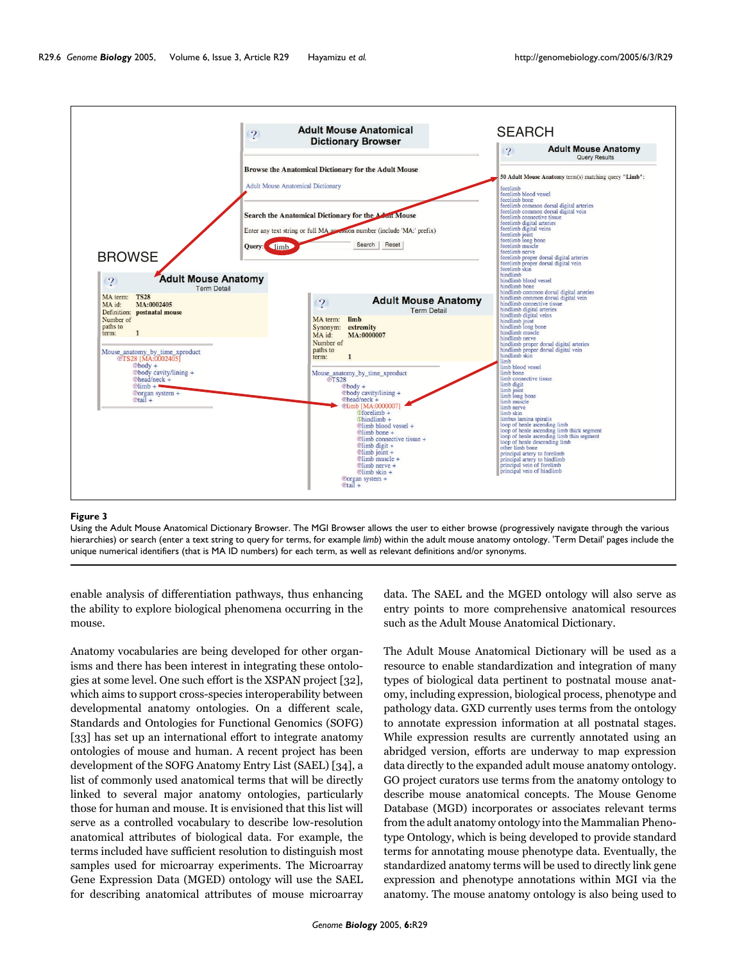<span id="page-5-0"></span>

#### **Figure 3**

Using the Adult Mouse Anatomical Dictionary Browser. The MGI Browser allows the user to either browse (progressively navigate through the various hierarchies) or search (enter a text string to query for terms, for example *limb*) within the adult mouse anatomy ontology. 'Term Detail' pages include the unique numerical identifiers (that is MA ID numbers) for each term, as well as relevant definitions and/or synonyms.

enable analysis of differentiation pathways, thus enhancing the ability to explore biological phenomena occurring in the mouse.

Anatomy vocabularies are being developed for other organisms and there has been interest in integrating these ontologies at some level. One such effort is the XSPAN project [32], which aims to support cross-species interoperability between developmental anatomy ontologies. On a different scale, Standards and Ontologies for Functional Genomics (SOFG) [33] has set up an international effort to integrate anatomy ontologies of mouse and human. A recent project has been development of the SOFG Anatomy Entry List (SAEL) [34], a list of commonly used anatomical terms that will be directly linked to several major anatomy ontologies, particularly those for human and mouse. It is envisioned that this list will serve as a controlled vocabulary to describe low-resolution anatomical attributes of biological data. For example, the terms included have sufficient resolution to distinguish most samples used for microarray experiments. The Microarray Gene Expression Data (MGED) ontology will use the SAEL for describing anatomical attributes of mouse microarray

data. The SAEL and the MGED ontology will also serve as entry points to more comprehensive anatomical resources such as the Adult Mouse Anatomical Dictionary.

The Adult Mouse Anatomical Dictionary will be used as a resource to enable standardization and integration of many types of biological data pertinent to postnatal mouse anatomy, including expression, biological process, phenotype and pathology data. GXD currently uses terms from the ontology to annotate expression information at all postnatal stages. While expression results are currently annotated using an abridged version, efforts are underway to map expression data directly to the expanded adult mouse anatomy ontology. GO project curators use terms from the anatomy ontology to describe mouse anatomical concepts. The Mouse Genome Database (MGD) incorporates or associates relevant terms from the adult anatomy ontology into the Mammalian Phenotype Ontology, which is being developed to provide standard terms for annotating mouse phenotype data. Eventually, the standardized anatomy terms will be used to directly link gene expression and phenotype annotations within MGI via the anatomy. The mouse anatomy ontology is also being used to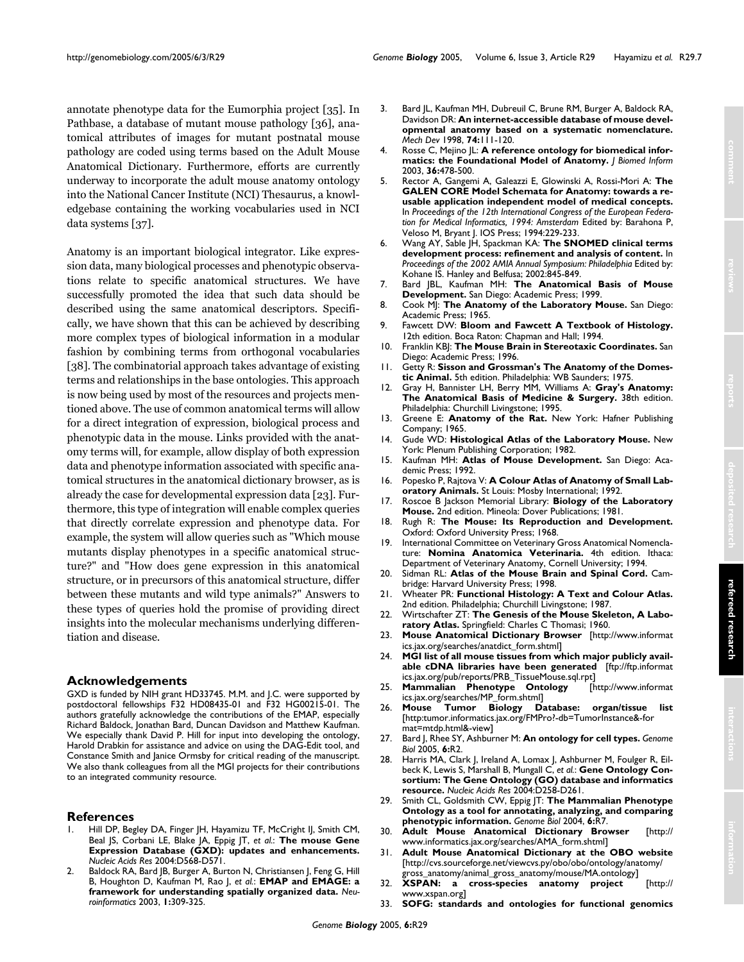annotate phenotype data for the Eumorphia project [35]. In Pathbase, a database of mutant mouse pathology [36], anatomical attributes of images for mutant postnatal mouse pathology are coded using terms based on the Adult Mouse Anatomical Dictionary. Furthermore, efforts are currently underway to incorporate the adult mouse anatomy ontology into the National Cancer Institute (NCI) Thesaurus, a knowledgebase containing the working vocabularies used in NCI data systems [37].

Anatomy is an important biological integrator. Like expression data, many biological processes and phenotypic observations relate to specific anatomical structures. We have successfully promoted the idea that such data should be described using the same anatomical descriptors. Specifically, we have shown that this can be achieved by describing more complex types of biological information in a modular fashion by combining terms from orthogonal vocabularies [38]. The combinatorial approach takes advantage of existing terms and relationships in the base ontologies. This approach is now being used by most of the resources and projects mentioned above. The use of common anatomical terms will allow for a direct integration of expression, biological process and phenotypic data in the mouse. Links provided with the anatomy terms will, for example, allow display of both expression data and phenotype information associated with specific anatomical structures in the anatomical dictionary browser, as is already the case for developmental expression data [23]. Furthermore, this type of integration will enable complex queries that directly correlate expression and phenotype data. For example, the system will allow queries such as "Which mouse mutants display phenotypes in a specific anatomical structure?" and "How does gene expression in this anatomical structure, or in precursors of this anatomical structure, differ between these mutants and wild type animals?" Answers to these types of queries hold the promise of providing direct insights into the molecular mechanisms underlying differentiation and disease.

## **Acknowledgements**

GXD is funded by NIH grant HD33745. M.M. and J.C. were supported by postdoctoral fellowships F32 HD08435-01 and F32 HG00215-01. The authors gratefully acknowledge the contributions of the EMAP, especially Richard Baldock, Jonathan Bard, Duncan Davidson and Matthew Kaufman. We especially thank David P. Hill for input into developing the ontology, Harold Drabkin for assistance and advice on using the DAG-Edit tool, and Constance Smith and Janice Ormsby for critical reading of the manuscript. We also thank colleagues from all the MGI projects for their contributions to an integrated community resource.

## **References**

- Hill DP, Begley DA, Finger JH, Hayamizu TF, McCright IJ, Smith CM, Beal JS, Corbani LE, Blake JA, Eppig JT, *et al.*: **[The mouse Gene](http://www.ncbi.nlm.nih.gov/entrez/query.fcgi?cmd=Retrieve&db=PubMed&dopt=Abstract&list_uids=14681482) [Expression Database \(GXD\): updates and enhancements.](http://www.ncbi.nlm.nih.gov/entrez/query.fcgi?cmd=Retrieve&db=PubMed&dopt=Abstract&list_uids=14681482)** *Nucleic Acids Res* 2004:D568-D571.
- 2. Baldock RA, Bard JB, Burger A, Burton N, Christiansen J, Feng G, Hill B, Houghton D, Kaufman M, Rao J, *et al.*: **[EMAP and EMAGE: a](http://www.ncbi.nlm.nih.gov/entrez/query.fcgi?cmd=Retrieve&db=PubMed&dopt=Abstract&list_uids=15043218) [framework for understanding spatially organized data.](http://www.ncbi.nlm.nih.gov/entrez/query.fcgi?cmd=Retrieve&db=PubMed&dopt=Abstract&list_uids=15043218)** *Neuroinformatics* 2003, **1:**309-325.
- 3. Bard JL, Kaufman MH, Dubreuil C, Brune RM, Burger A, Baldock RA, Davidson DR: **[An internet-accessible database of mouse devel](http://www.ncbi.nlm.nih.gov/entrez/query.fcgi?cmd=Retrieve&db=PubMed&dopt=Abstract&list_uids=9651497)[opmental anatomy based on a systematic nomenclature.](http://www.ncbi.nlm.nih.gov/entrez/query.fcgi?cmd=Retrieve&db=PubMed&dopt=Abstract&list_uids=9651497)** *Mech Dev* 1998, **74:**111-120.
- 4. Rosse C, Mejino JL: **[A reference ontology for biomedical infor](http://www.ncbi.nlm.nih.gov/entrez/query.fcgi?cmd=Retrieve&db=PubMed&dopt=Abstract&list_uids=14759820)[matics: the Foundational Model of Anatomy.](http://www.ncbi.nlm.nih.gov/entrez/query.fcgi?cmd=Retrieve&db=PubMed&dopt=Abstract&list_uids=14759820)** *J Biomed Inform* 2003, **36:**478-500.
- 5. Rector A, Gangemi A, Galeazzi E, Glowinski A, Rossi-Mori A: **The GALEN CORE Model Schemata for Anatomy: towards a reusable application independent model of medical concepts.** In *Proceedings of the 12th International Congress of the European Federation for Medical Informatics, 1994: Amsterdam* Edited by: Barahona P, Veloso M, Bryant J. IOS Press; 1994:229-233.
- 6. Wang AY, Sable JH, Spackman KA: **The SNOMED clinical terms development process: refinement and analysis of content.** In *Proceedings of the 2002 AMIA Annual Symposium: Philadelphia* Edited by: Kohane IS. Hanley and Belfusa; 2002:845-849.
- 7. Bard JBL, Kaufman MH: **The Anatomical Basis of Mouse Development.** San Diego: Academic Press; 1999.
- 8. Cook MJ: **The Anatomy of the Laboratory Mouse.** San Diego: Academic Press; 1965.
- 9. Fawcett DW: **Bloom and Fawcett A Textbook of Histology.** 12th edition. Boca Raton: Chapman and Hall; 1994.
- 10. Franklin KBJ: **The Mouse Brain in Stereotaxic Coordinates.** San Diego: Academic Press; 1996.
- 11. Getty R: **Sisson and Grossman's The Anatomy of the Domestic Animal.** 5th edition. Philadelphia: WB Saunders; 1975.
- 12. Gray H, Bannister LH, Berry MM, Williams A: **Gray's Anatomy: The Anatomical Basis of Medicine & Surgery.** 38th edition. Philadelphia: Churchill Livingstone; 1995.
- 13. Greene E: **Anatomy of the Rat.** New York: Hafner Publishing Company; 1965.
- 14. Gude WD: **Histological Atlas of the Laboratory Mouse.** New York: Plenum Publishing Corporation; 1982.
- 15. Kaufman MH: **Atlas of Mouse Development.** San Diego: Academic Press; 1992.
- 16. Popesko P, Rajtova V: **A Colour Atlas of Anatomy of Small Laboratory Animals.** St Louis: Mosby International; 1992.
- 17. Roscoe B Jackson Memorial Library: **Biology of the Laboratory Mouse.** 2nd edition. Mineola: Dover Publications; 1981.
- 18. Rugh R: **The Mouse: Its Reproduction and Development.** Oxford: Oxford University Press; 1968.
- 19. International Committee on Veterinary Gross Anatomical Nomenclature: **Nomina Anatomica Veterinaria.** 4th edition. Ithaca: Department of Veterinary Anatomy, Cornell University; 1994.
- 20. Sidman RL: **Atlas of the Mouse Brain and Spinal Cord.** Cambridge: Harvard University Press; 1998.
- 21. Wheater PR: **Functional Histology: A Text and Colour Atlas.** 2nd edition. Philadelphia; Churchill Livingstone; 1987.
- 22. Wirtschafter ZT: **The Genesis of the Mouse Skeleton, A Laboratory Atlas.** Springfield: Charles C Thomasi; 1960.
- 23. **Mouse Anatomical Dictionary Browser** [\[http://www.informat](http://www.informatics.jax.org/searches/anatdict_form.shtml) [ics.jax.org/searches/anatdict\\_form.shtml\]](http://www.informatics.jax.org/searches/anatdict_form.shtml)
- 24. **MGI list of all mouse tissues from which major publicly available cDNA libraries have been generated** [\[ftp://ftp.informat](ftp://ftp.informatics.jax.org/pub/reports/PRB_TissueMouse.sql.rpt) [ics.jax.org/pub/reports/PRB\\_TissueMouse.sql.rpt\]](ftp://ftp.informatics.jax.org/pub/reports/PRB_TissueMouse.sql.rpt)<br>**Mammalian Phenotype Ontology** [http://www.informat
- 25. **Mammalian Phenotype Ontology** [ics.jax.org/searches/MP\\_form.shtml\]](http://www.informatics.jax.org/searches/MP_form.shtml)
- 26. **Mouse Tumor Biology Database: organ/tissue list** [\[http:tumor.informatics.jax.org/FMPro?-db=TumorInstance&-for](http://tumor.informatics.jax.org/FMPro?-db=TumorInstance&-format=mtdp.html&-view) mat=mtdp.html&-view]
- 27. Bard J, Rhee SY, Ashburner M: **[An ontology for cell types.](http://www.ncbi.nlm.nih.gov/entrez/query.fcgi?cmd=Retrieve&db=PubMed&dopt=Abstract&list_uids=15642094)** *Genome Biol* 2005, **6:**R2.
- 28. Harris MA, Clark J, Ireland A, Lomax J, Ashburner M, Foulger R, Eilbeck K, Lewis S, Marshall B, Mungall C, *et al.*: **[Gene Ontology Con](http://www.ncbi.nlm.nih.gov/entrez/query.fcgi?cmd=Retrieve&db=PubMed&dopt=Abstract&list_uids=14681407)[sortium: The Gene Ontology \(GO\) database and informatics](http://www.ncbi.nlm.nih.gov/entrez/query.fcgi?cmd=Retrieve&db=PubMed&dopt=Abstract&list_uids=14681407) [resource.](http://www.ncbi.nlm.nih.gov/entrez/query.fcgi?cmd=Retrieve&db=PubMed&dopt=Abstract&list_uids=14681407)** *Nucleic Acids Res* 2004:D258-D261.
- 29. Smith CL, Goldsmith CW, Eppig JT: **[The Mammalian Phenotype](http://www.ncbi.nlm.nih.gov/entrez/query.fcgi?cmd=Retrieve&db=PubMed&dopt=Abstract&list_uids=15642099) [Ontology as a tool for annotating, analyzing, and comparing](http://www.ncbi.nlm.nih.gov/entrez/query.fcgi?cmd=Retrieve&db=PubMed&dopt=Abstract&list_uids=15642099) [phenotypic information.](http://www.ncbi.nlm.nih.gov/entrez/query.fcgi?cmd=Retrieve&db=PubMed&dopt=Abstract&list_uids=15642099)** *Genome Biol* 2004, **6:**R7.
- 30. **Adult Mouse Anatomical Dictionary Browser** [\[http://](http://www.informatics.jax.org/searches/AMA_form.shtml) [www.informatics.jax.org/searches/AMA\\_form.shtml\]](http://www.informatics.jax.org/searches/AMA_form.shtml)
- 31. **Adult Mouse Anatomical Dictionary at the OBO website** [\[http://cvs.sourceforge.net/viewcvs.py/obo/obo/ontology/anatomy/](http://cvs.sourceforge.net/viewcvs.py/obo/obo/ontology/anatomy/gross_anatomy/animal_gross_anatomy/mouse/MA.ontology) gross\_anatomy/animal\_gross\_anatomy/mouse/MA.ontology]
- 32. **XSPAN: a cross-species anatomy project** [\[http://](http://www.xspan.org) [www.xspan.org\]](http://www.xspan.org)
- 33. **SOFG: standards and ontologies for functional genomics**

**refereed research deposited research**

refereed research